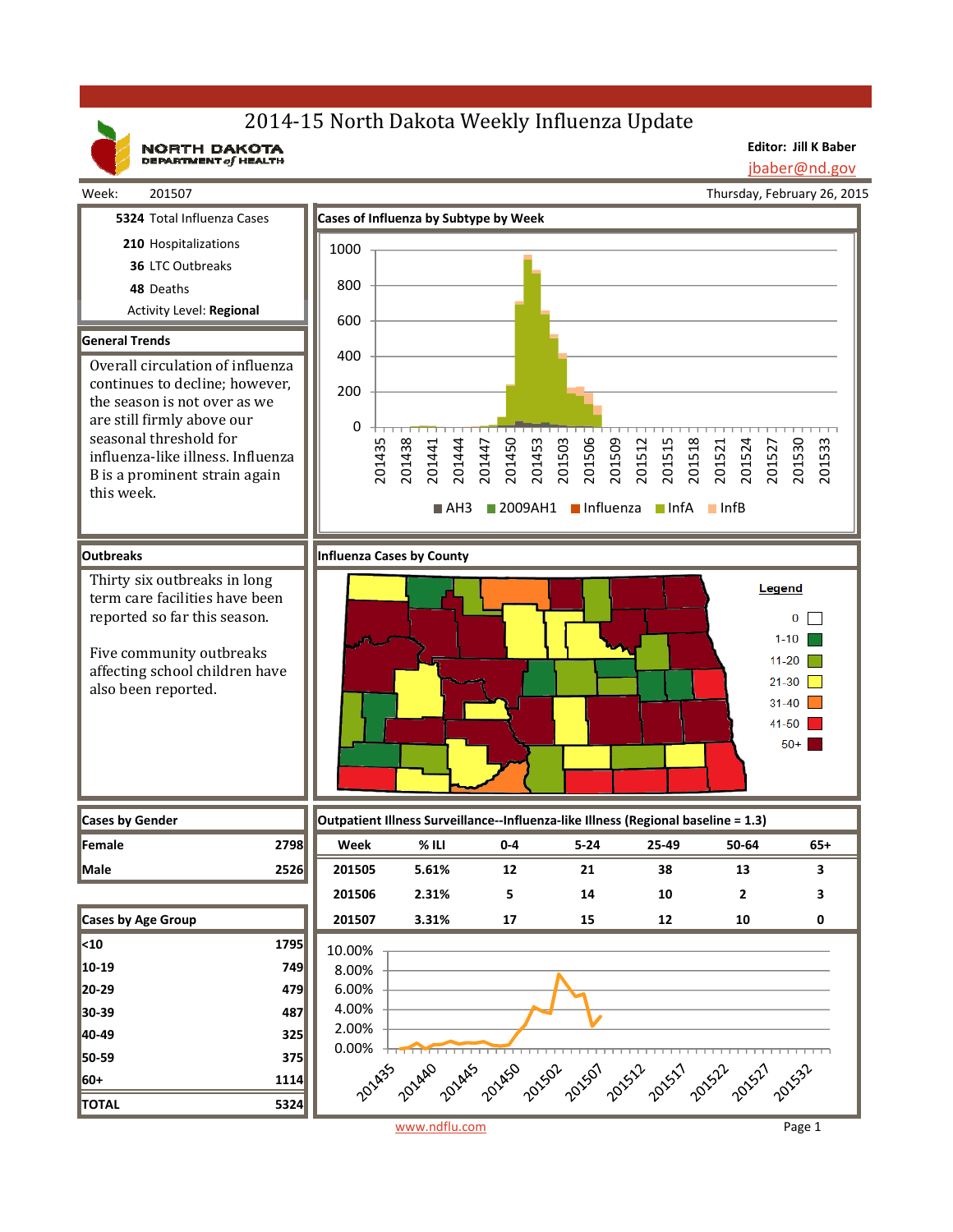# 2014-15 North Dakota Weekly Influenza Update

NORTH DAKOTA

**Editor: Jill K Baber**

jbaber@nd.gov

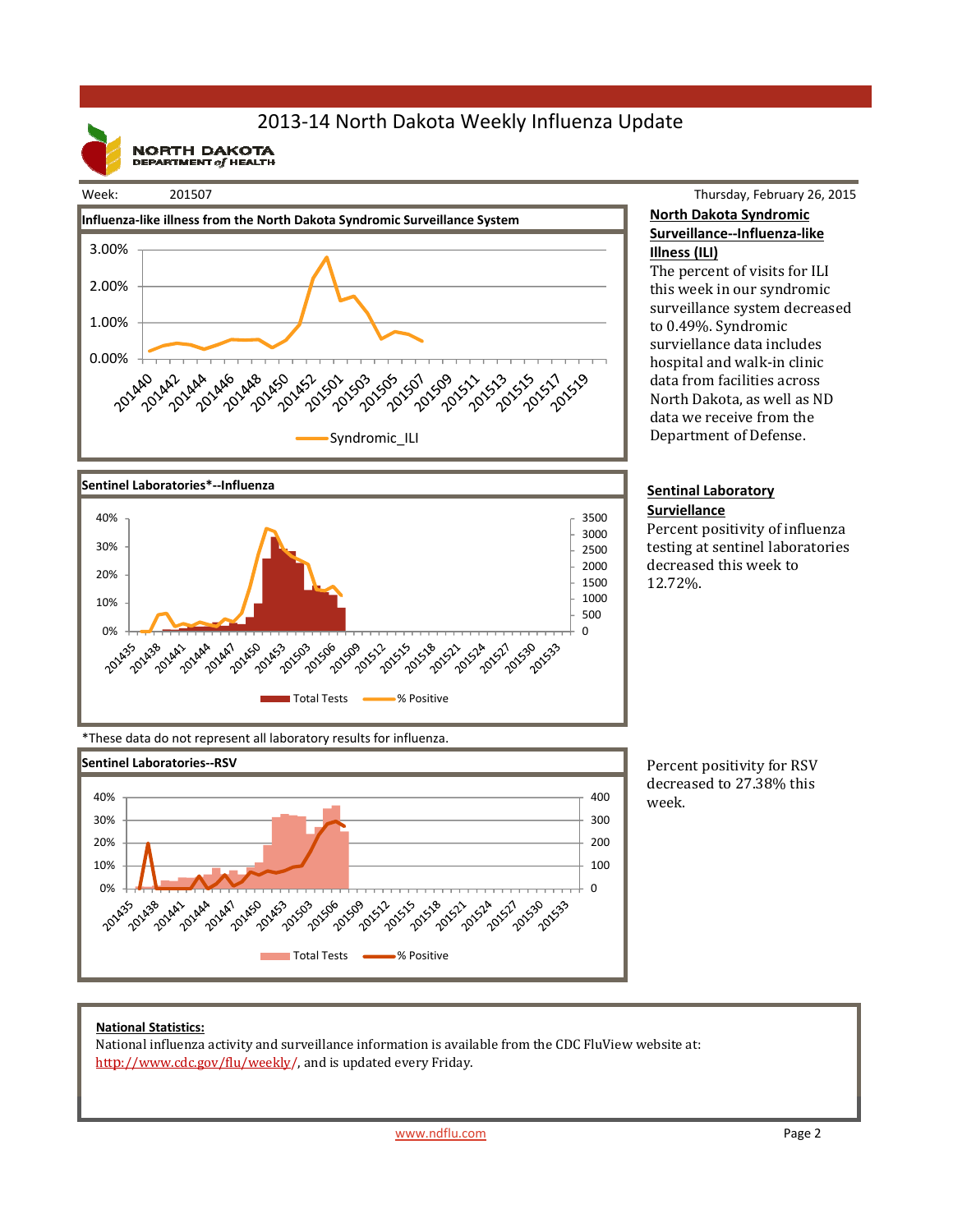## 2013‐14 North Dakota Weekly Influenza Update

**NORTH DAKOTA**<br>DEPARTMENT of HEALTH







Thursday, February 26, 2015 **North Dakota Syndromic Surveillance‐‐Influenza‐like Illness (ILI)**

The percent of visits for ILI this week in our syndromic surveillance system decreased to 0.49%. Syndromic surviellance data includes hospital and walk-in clinic data from facilities across North Dakota, as well as ND data we receive from the Department of Defense.

#### **Sentinal Laboratory Surviellance**

Percent positivity of influenza testing at sentinel laboratories decreased this week to 12.72%. 

\*These data do not represent all laboratory results for influenza.



Percent positivity for RSV decreased to 27.38% this week.

### **National Statistics:**

National influenza activity and surveillance information is available from the CDC FluView website at: http://www.cdc.gov/flu/weekly/, and is updated every Friday.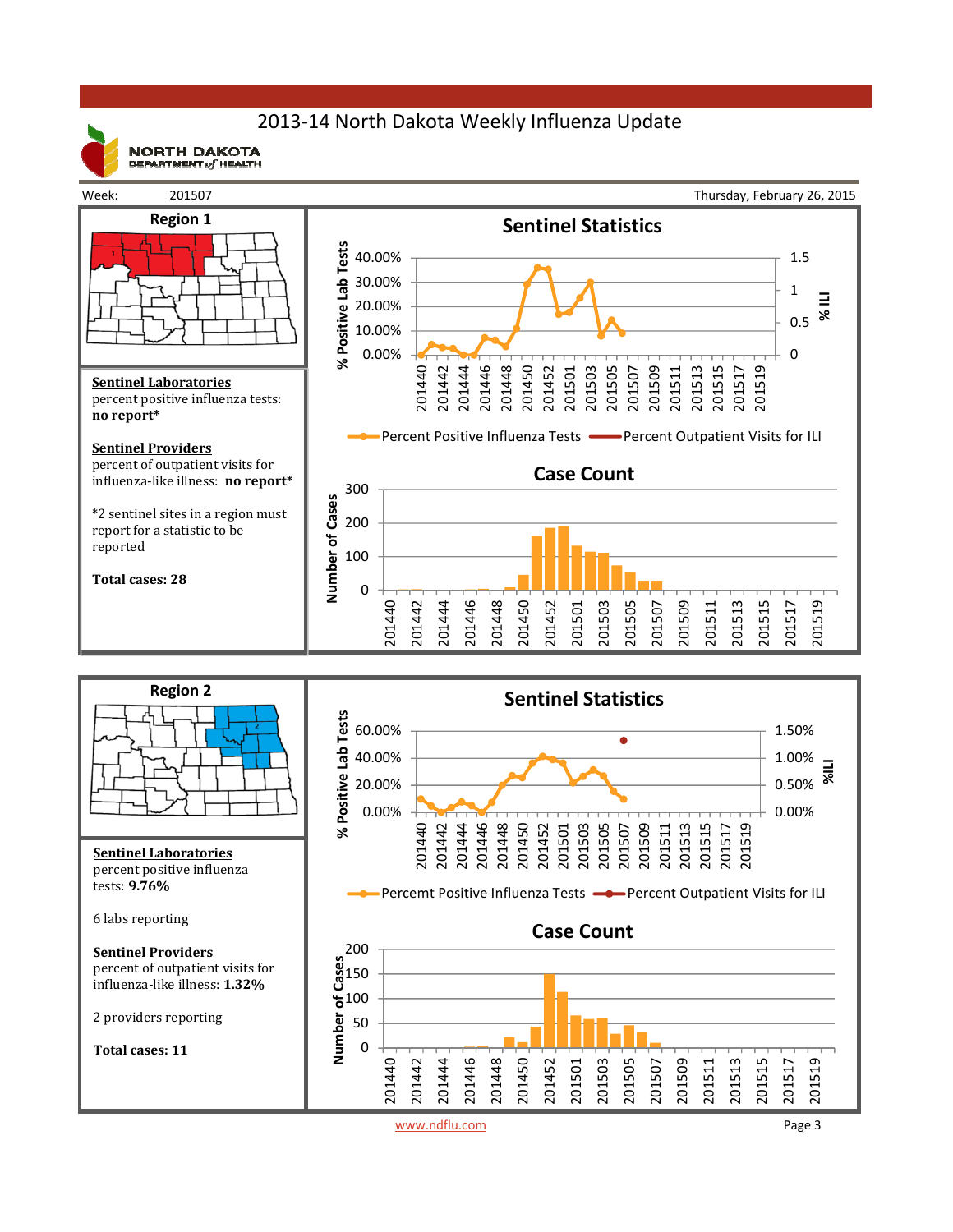## 2013‐14 North Dakota Weekly Influenza Update



**NORTH DAKOTA** DEPARTMENT  $of$  HEALTH